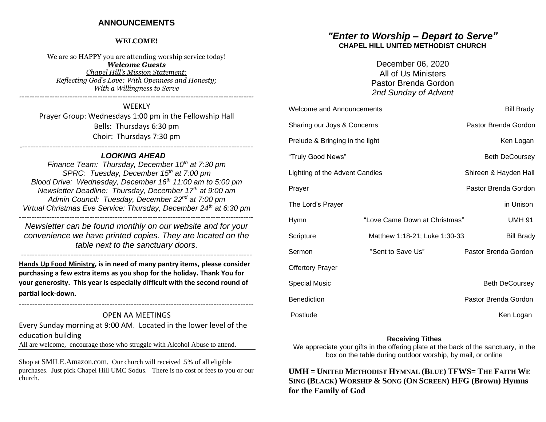## **ANNOUNCEMENTS**

#### **WELCOME!**

We are so HAPPY you are attending worship service today!

*Welcome Guests Chapel Hill's Mission Statement:*

*Reflecting God's Love: With Openness and Honesty; With a Willingness to Serve ---------------------------------------------------------------------------------------------*

**WEEKLY** Prayer Group: Wednesdays 1:00 pm in the Fellowship Hall Bells: Thursdays 6:30 pm Choir: Thursdays 7:30 pm -------------------------------------------------------------------------------------

## *LOOKING AHEAD*

*Finance Team: Thursday, December 10th at 7:30 pm SPRC: Tuesday, December 15th at 7:00 pm Blood Drive: Wednesday, December 16th 11:00 am to 5:00 pm Newsletter Deadline: Thursday, December 17th at 9:00 am Admin Council: Tuesday, December 22nd at 7:00 pm Virtual Christmas Eve Service: Thursday, December 24th at 6:30 pm ---------------------------------------------------------------------------------------------*

*Newsletter can be found monthly on our website and for your convenience we have printed copies. They are located on the table next to the sanctuary doors.* 

**Hands Up Food Ministry, is in need of many pantry items, please consider purchasing a few extra items as you shop for the holiday. Thank You for your generosity. This year is especially difficult with the second round of partial lock-down.**

## **----------------------------------------------------------------------------------------** OPEN AA MEETINGS

Every Sunday morning at 9:00 AM. Located in the lower level of the education building

All are welcome, encourage those who struggle with Alcohol Abuse to attend.

Shop at SMILE.Amazon.com. Our church will received .5% of all eligible purchases. Just pick Chapel Hill UMC Sodus. There is no cost or fees to you or our church.

## *"Enter to Worship – Depart to Serve"* **CHAPEL HILL UNITED METHODIST CHURCH**

December 06, 2020 All of Us Ministers Pastor Brenda Gordon *2nd Sunday of Advent*

| <b>Welcome and Announcements</b> |                               | <b>Bill Brady</b>     |
|----------------------------------|-------------------------------|-----------------------|
| Sharing our Joys & Concerns      |                               | Pastor Brenda Gordon  |
| Prelude & Bringing in the light  |                               | Ken Logan             |
| "Truly Good News"                |                               | <b>Beth DeCoursey</b> |
| Lighting of the Advent Candles   |                               | Shireen & Hayden Hall |
| Prayer                           |                               | Pastor Brenda Gordon  |
| The Lord's Prayer                |                               | in Unison             |
| Hymn                             | "Love Came Down at Christmas" | <b>UMH 91</b>         |
| Scripture                        | Matthew 1:18-21; Luke 1:30-33 | <b>Bill Brady</b>     |
| Sermon                           | "Sent to Save Us"             | Pastor Brenda Gordon  |
| <b>Offertory Prayer</b>          |                               |                       |
| <b>Special Music</b>             |                               | <b>Beth DeCoursey</b> |
| Benediction                      |                               | Pastor Brenda Gordon  |
| Postlude                         |                               | Ken Logan             |

#### **Receiving Tithes**

We appreciate your gifts in the offering plate at the back of the sanctuary, in the box on the table during outdoor worship, by mail, or online

**UMH = UNITED METHODIST HYMNAL (BLUE) TFWS= THE FAITH WE SING (BLACK) WORSHIP & SONG (ON SCREEN) HFG (Brown) Hymns for the Family of God**